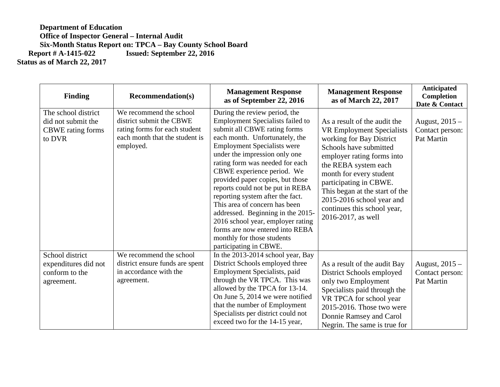| <b>Finding</b>                                                                  | <b>Recommendation(s)</b>                                                                                                            | <b>Management Response</b><br>as of September 22, 2016                                                                                                                                                                                                                                                                                                                                                                                                                                                                                                                                               | <b>Management Response</b><br>as of March 22, 2017                                                                                                                                                                                                                                                                                                    | <b>Anticipated</b><br>Completion<br>Date & Contact |
|---------------------------------------------------------------------------------|-------------------------------------------------------------------------------------------------------------------------------------|------------------------------------------------------------------------------------------------------------------------------------------------------------------------------------------------------------------------------------------------------------------------------------------------------------------------------------------------------------------------------------------------------------------------------------------------------------------------------------------------------------------------------------------------------------------------------------------------------|-------------------------------------------------------------------------------------------------------------------------------------------------------------------------------------------------------------------------------------------------------------------------------------------------------------------------------------------------------|----------------------------------------------------|
| The school district<br>did not submit the<br><b>CBWE</b> rating forms<br>to DVR | We recommend the school<br>district submit the CBWE<br>rating forms for each student<br>each month that the student is<br>employed. | During the review period, the<br><b>Employment Specialists failed to</b><br>submit all CBWE rating forms<br>each month. Unfortunately, the<br><b>Employment Specialists were</b><br>under the impression only one<br>rating form was needed for each<br>CBWE experience period. We<br>provided paper copies, but those<br>reports could not be put in REBA<br>reporting system after the fact.<br>This area of concern has been<br>addressed. Beginning in the 2015-<br>2016 school year, employer rating<br>forms are now entered into REBA<br>monthly for those students<br>participating in CBWE. | As a result of the audit the<br><b>VR Employment Specialists</b><br>working for Bay District<br>Schools have submitted<br>employer rating forms into<br>the REBA system each<br>month for every student<br>participating in CBWE.<br>This began at the start of the<br>2015-2016 school year and<br>continues this school year,<br>2016-2017, as well | August, $2015 -$<br>Contact person:<br>Pat Martin  |
| School district<br>expenditures did not<br>conform to the<br>agreement.         | We recommend the school<br>district ensure funds are spent<br>in accordance with the<br>agreement.                                  | In the 2013-2014 school year, Bay<br>District Schools employed three<br>Employment Specialists, paid<br>through the VR TPCA. This was<br>allowed by the TPCA for 13-14.<br>On June 5, 2014 we were notified<br>that the number of Employment<br>Specialists per district could not<br>exceed two for the 14-15 year,                                                                                                                                                                                                                                                                                 | As a result of the audit Bay<br>District Schools employed<br>only two Employment<br>Specialists paid through the<br>VR TPCA for school year<br>2015-2016. Those two were<br>Donnie Ramsey and Carol<br>Negrin. The same is true for                                                                                                                   | August, $2015 -$<br>Contact person:<br>Pat Martin  |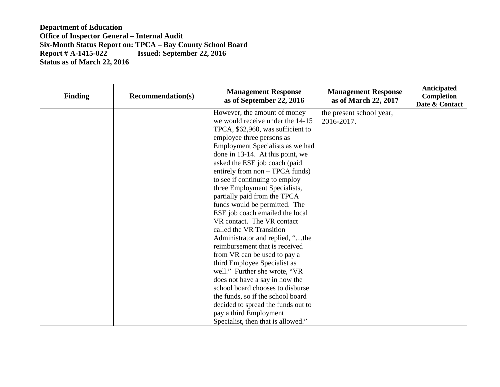| <b>Finding</b> | <b>Recommendation(s)</b> | <b>Management Response</b><br>as of September 22, 2016 | <b>Management Response</b><br>as of March 22, 2017 | Anticipated<br>Completion<br>Date & Contact |
|----------------|--------------------------|--------------------------------------------------------|----------------------------------------------------|---------------------------------------------|
|                |                          | However, the amount of money                           | the present school year,                           |                                             |
|                |                          | we would receive under the 14-15                       | 2016-2017.                                         |                                             |
|                |                          | TPCA, \$62,960, was sufficient to                      |                                                    |                                             |
|                |                          | employee three persons as                              |                                                    |                                             |
|                |                          | Employment Specialists as we had                       |                                                    |                                             |
|                |                          | done in 13-14. At this point, we                       |                                                    |                                             |
|                |                          | asked the ESE job coach (paid                          |                                                    |                                             |
|                |                          | entirely from non – TPCA funds)                        |                                                    |                                             |
|                |                          | to see if continuing to employ                         |                                                    |                                             |
|                |                          | three Employment Specialists,                          |                                                    |                                             |
|                |                          | partially paid from the TPCA                           |                                                    |                                             |
|                |                          | funds would be permitted. The                          |                                                    |                                             |
|                |                          | ESE job coach emailed the local                        |                                                    |                                             |
|                |                          | VR contact. The VR contact                             |                                                    |                                             |
|                |                          | called the VR Transition                               |                                                    |                                             |
|                |                          | Administrator and replied, "the                        |                                                    |                                             |
|                |                          | reimbursement that is received                         |                                                    |                                             |
|                |                          | from VR can be used to pay a                           |                                                    |                                             |
|                |                          | third Employee Specialist as                           |                                                    |                                             |
|                |                          | well." Further she wrote, "VR                          |                                                    |                                             |
|                |                          | does not have a say in how the                         |                                                    |                                             |
|                |                          | school board chooses to disburse                       |                                                    |                                             |
|                |                          | the funds, so if the school board                      |                                                    |                                             |
|                |                          | decided to spread the funds out to                     |                                                    |                                             |
|                |                          | pay a third Employment                                 |                                                    |                                             |
|                |                          | Specialist, then that is allowed."                     |                                                    |                                             |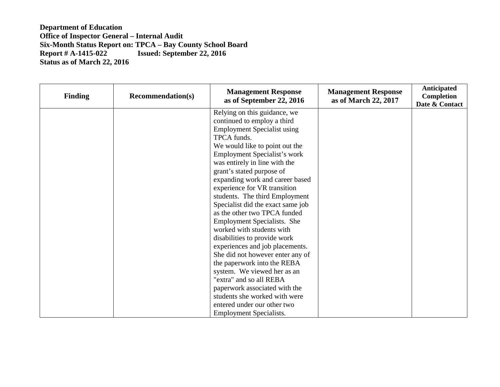| <b>Finding</b> | <b>Recommendation(s)</b> | <b>Management Response</b><br>as of September 22, 2016 | <b>Management Response</b><br>as of March 22, 2017 | <b>Anticipated</b><br>Completion<br>Date & Contact |
|----------------|--------------------------|--------------------------------------------------------|----------------------------------------------------|----------------------------------------------------|
|                |                          | Relying on this guidance, we                           |                                                    |                                                    |
|                |                          | continued to employ a third                            |                                                    |                                                    |
|                |                          | <b>Employment Specialist using</b>                     |                                                    |                                                    |
|                |                          | TPCA funds.                                            |                                                    |                                                    |
|                |                          | We would like to point out the                         |                                                    |                                                    |
|                |                          | Employment Specialist's work                           |                                                    |                                                    |
|                |                          | was entirely in line with the                          |                                                    |                                                    |
|                |                          | grant's stated purpose of                              |                                                    |                                                    |
|                |                          | expanding work and career based                        |                                                    |                                                    |
|                |                          | experience for VR transition                           |                                                    |                                                    |
|                |                          | students. The third Employment                         |                                                    |                                                    |
|                |                          | Specialist did the exact same job                      |                                                    |                                                    |
|                |                          | as the other two TPCA funded                           |                                                    |                                                    |
|                |                          | Employment Specialists. She                            |                                                    |                                                    |
|                |                          | worked with students with                              |                                                    |                                                    |
|                |                          | disabilities to provide work                           |                                                    |                                                    |
|                |                          | experiences and job placements.                        |                                                    |                                                    |
|                |                          | She did not however enter any of                       |                                                    |                                                    |
|                |                          | the paperwork into the REBA                            |                                                    |                                                    |
|                |                          | system. We viewed her as an                            |                                                    |                                                    |
|                |                          | "extra" and so all REBA                                |                                                    |                                                    |
|                |                          | paperwork associated with the                          |                                                    |                                                    |
|                |                          | students she worked with were                          |                                                    |                                                    |
|                |                          | entered under our other two                            |                                                    |                                                    |
|                |                          | <b>Employment Specialists.</b>                         |                                                    |                                                    |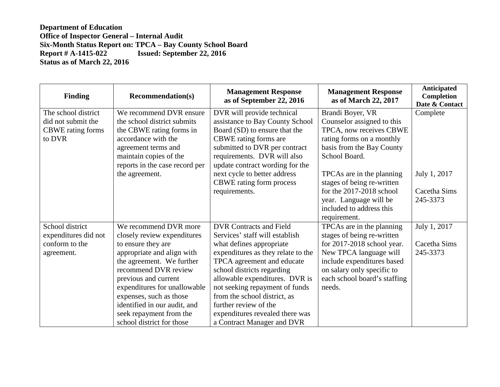| <b>Finding</b>           | <b>Recommendation(s)</b>       | <b>Management Response</b><br>as of September 22, 2016 | <b>Management Response</b><br>as of March 22, 2017 | Anticipated<br>Completion<br>Date & Contact |
|--------------------------|--------------------------------|--------------------------------------------------------|----------------------------------------------------|---------------------------------------------|
| The school district      | We recommend DVR ensure        | DVR will provide technical                             | Brandi Boyer, VR                                   | Complete                                    |
| did not submit the       | the school district submits    | assistance to Bay County School                        | Counselor assigned to this                         |                                             |
| <b>CBWE</b> rating forms | the CBWE rating forms in       | Board (SD) to ensure that the                          | TPCA, now receives CBWE                            |                                             |
| to DVR                   | accordance with the            | CBWE rating forms are                                  | rating forms on a monthly                          |                                             |
|                          | agreement terms and            | submitted to DVR per contract                          | basis from the Bay County                          |                                             |
|                          | maintain copies of the         | requirements. DVR will also                            | School Board.                                      |                                             |
|                          | reports in the case record per | update contract wording for the                        |                                                    |                                             |
|                          | the agreement.                 | next cycle to better address                           | TPCAs are in the planning                          | July 1, 2017                                |
|                          |                                | CBWE rating form process                               | stages of being re-written                         |                                             |
|                          |                                | requirements.                                          | for the $2017-2018$ school                         | Cacetha Sims                                |
|                          |                                |                                                        | year. Language will be                             | 245-3373                                    |
|                          |                                |                                                        | included to address this                           |                                             |
|                          |                                |                                                        | requirement.                                       |                                             |
| School district          | We recommend DVR more          | <b>DVR Contracts and Field</b>                         | TPCAs are in the planning                          | July 1, 2017                                |
| expenditures did not     | closely review expenditures    | Services' staff will establish                         | stages of being re-written                         |                                             |
| conform to the           | to ensure they are             | what defines appropriate                               | for $2017-2018$ school year.                       | Cacetha Sims                                |
| agreement.               | appropriate and align with     | expenditures as they relate to the                     | New TPCA language will                             | 245-3373                                    |
|                          | the agreement. We further      | TPCA agreement and educate                             | include expenditures based                         |                                             |
|                          | recommend DVR review           | school districts regarding                             | on salary only specific to                         |                                             |
|                          | previous and current           | allowable expenditures. DVR is                         | each school board's staffing                       |                                             |
|                          | expenditures for unallowable   | not seeking repayment of funds                         | needs.                                             |                                             |
|                          | expenses, such as those        | from the school district, as                           |                                                    |                                             |
|                          | identified in our audit, and   | further review of the                                  |                                                    |                                             |
|                          | seek repayment from the        | expenditures revealed there was                        |                                                    |                                             |
|                          | school district for those      | a Contract Manager and DVR                             |                                                    |                                             |